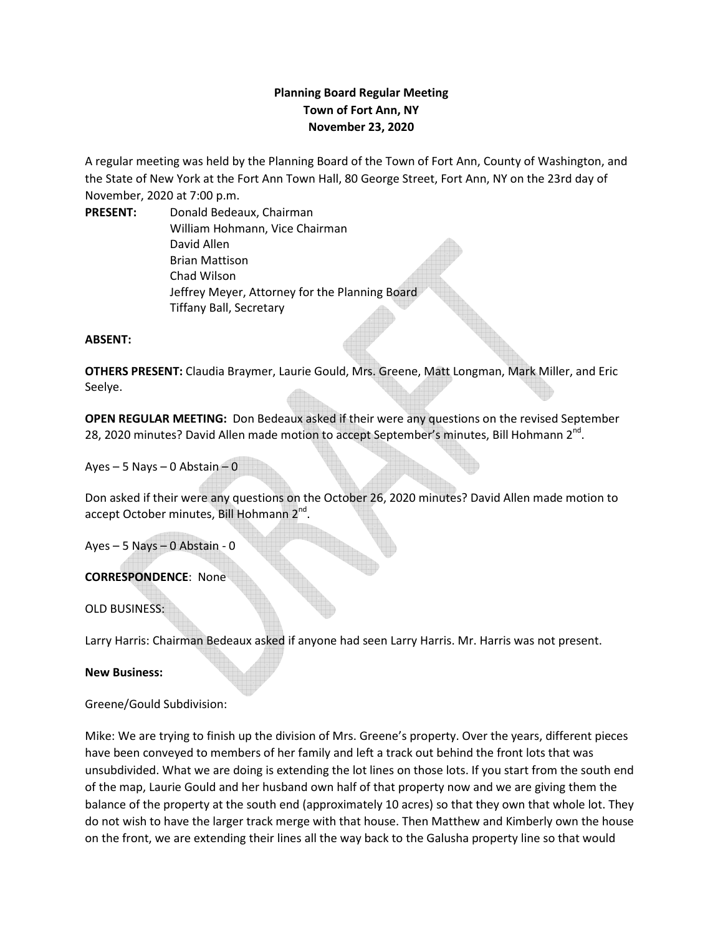## **Planning Board Regular Meeting Town of Fort Ann, NY November 23, 2020**

A regular meeting was held by the Planning Board of the Town of Fort Ann, County of Washington, and the State of New York at the Fort Ann Town Hall, 80 George Street, Fort Ann, NY on the 23rd day of November, 2020 at 7:00 p.m.

**PRESENT:** Donald Bedeaux, Chairman William Hohmann, Vice Chairman David Allen Brian Mattison Chad Wilson Jeffrey Meyer, Attorney for the Planning Board Tiffany Ball, Secretary

## **ABSENT:**

**OTHERS PRESENT:** Claudia Braymer, Laurie Gould, Mrs. Greene, Matt Longman, Mark Miller, and Eric Seelye.

**OPEN REGULAR MEETING:** Don Bedeaux asked if their were any questions on the revised September 28, 2020 minutes? David Allen made motion to accept September's minutes, Bill Hohmann 2<sup>nd</sup>.

Ayes – 5 Nays – 0 Abstain – 0

Don asked if their were any questions on the October 26, 2020 minutes? David Allen made motion to accept October minutes, Bill Hohmann 2<sup>nd</sup>.

Ayes – 5 Nays – 0 Abstain - 0

## **CORRESPONDENCE**: None

OLD BUSINESS:

Larry Harris: Chairman Bedeaux asked if anyone had seen Larry Harris. Mr. Harris was not present.

**New Business:**

Greene/Gould Subdivision:

Mike: We are trying to finish up the division of Mrs. Greene's property. Over the years, different pieces have been conveyed to members of her family and left a track out behind the front lots that was unsubdivided. What we are doing is extending the lot lines on those lots. If you start from the south end of the map, Laurie Gould and her husband own half of that property now and we are giving them the balance of the property at the south end (approximately 10 acres) so that they own that whole lot. They do not wish to have the larger track merge with that house. Then Matthew and Kimberly own the house on the front, we are extending their lines all the way back to the Galusha property line so that would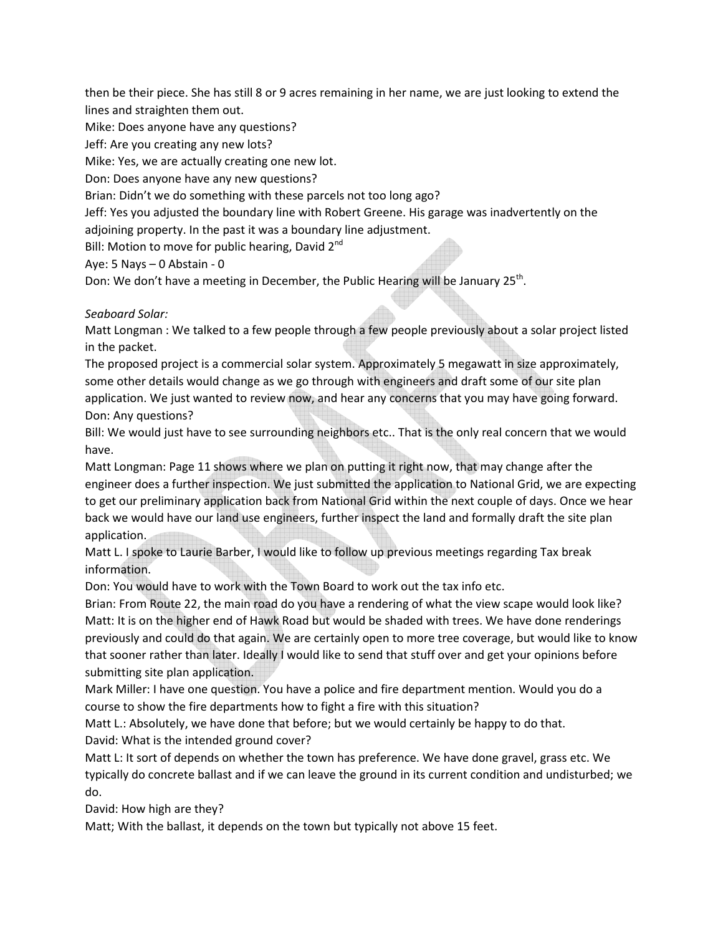then be their piece. She has still 8 or 9 acres remaining in her name, we are just looking to extend the lines and straighten them out.

Mike: Does anyone have any questions?

Jeff: Are you creating any new lots?

Mike: Yes, we are actually creating one new lot.

Don: Does anyone have any new questions?

Brian: Didn't we do something with these parcels not too long ago?

Jeff: Yes you adjusted the boundary line with Robert Greene. His garage was inadvertently on the adjoining property. In the past it was a boundary line adjustment.

Bill: Motion to move for public hearing, David  $2^{nd}$ 

Aye: 5 Nays – 0 Abstain - 0

Don: We don't have a meeting in December, the Public Hearing will be January 25<sup>th</sup>.

*Seaboard Solar:* 

Matt Longman : We talked to a few people through a few people previously about a solar project listed in the packet.

The proposed project is a commercial solar system. Approximately 5 megawatt in size approximately, some other details would change as we go through with engineers and draft some of our site plan application. We just wanted to review now, and hear any concerns that you may have going forward. Don: Any questions?

Bill: We would just have to see surrounding neighbors etc.. That is the only real concern that we would have.

Matt Longman: Page 11 shows where we plan on putting it right now, that may change after the engineer does a further inspection. We just submitted the application to National Grid, we are expecting to get our preliminary application back from National Grid within the next couple of days. Once we hear back we would have our land use engineers, further inspect the land and formally draft the site plan application.

Matt L. I spoke to Laurie Barber, I would like to follow up previous meetings regarding Tax break information.

Don: You would have to work with the Town Board to work out the tax info etc.

Brian: From Route 22, the main road do you have a rendering of what the view scape would look like? Matt: It is on the higher end of Hawk Road but would be shaded with trees. We have done renderings previously and could do that again. We are certainly open to more tree coverage, but would like to know that sooner rather than later. Ideally I would like to send that stuff over and get your opinions before submitting site plan application.

Mark Miller: I have one question. You have a police and fire department mention. Would you do a course to show the fire departments how to fight a fire with this situation?

Matt L.: Absolutely, we have done that before; but we would certainly be happy to do that. David: What is the intended ground cover?

Matt L: It sort of depends on whether the town has preference. We have done gravel, grass etc. We typically do concrete ballast and if we can leave the ground in its current condition and undisturbed; we do.

David: How high are they?

Matt; With the ballast, it depends on the town but typically not above 15 feet.